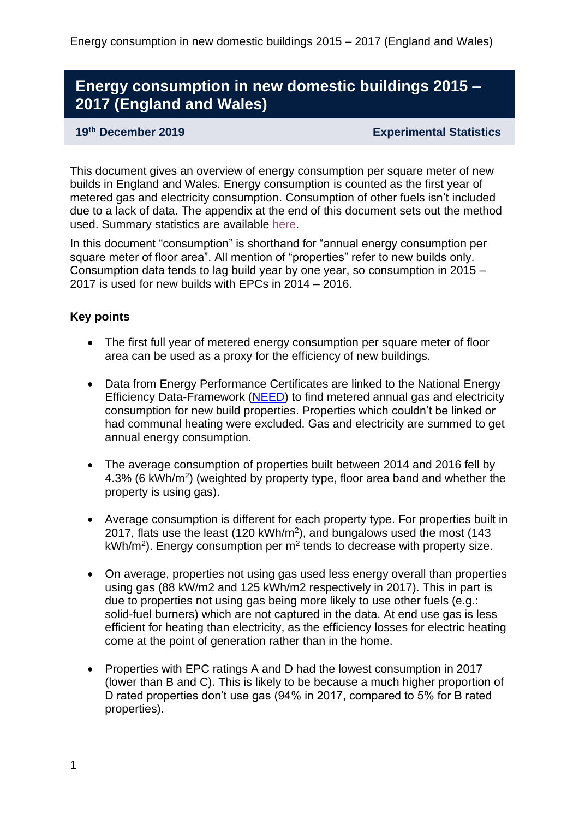# **Energy consumption in new domestic buildings 2015 – 2017 (England and Wales)**

#### **19th December 2019 Experimental Statistics**

This document gives an overview of energy consumption per square meter of new builds in England and Wales. Energy consumption is counted as the first year of metered gas and electricity consumption. Consumption of other fuels isn't included due to a lack of data. The appendix at the end of this document sets out the method used. Summary statistics are available [here.](https://www.gov.uk/government/statistics/energy-consumption-in-new-domestic-buildings-2015-to-2017-england-and-wales)

In this document "consumption" is shorthand for "annual energy consumption per square meter of floor area". All mention of "properties" refer to new builds only. Consumption data tends to lag build year by one year, so consumption in 2015 – 2017 is used for new builds with EPCs in 2014 – 2016.

#### **Key points**

- The first full year of metered energy consumption per square meter of floor area can be used as a proxy for the efficiency of new buildings.
- Data from Energy Performance Certificates are linked to the National Energy Efficiency Data-Framework [\(NEED\)](https://www.gov.uk/government/collections/national-energy-efficiency-data-need-framework) to find metered annual gas and electricity consumption for new build properties. Properties which couldn't be linked or had communal heating were excluded. Gas and electricity are summed to get annual energy consumption.
- The average consumption of properties built between 2014 and 2016 fell by 4.3% (6 kWh/m<sup>2</sup>) (weighted by property type, floor area band and whether the property is using gas).
- Average consumption is different for each property type. For properties built in 2017, flats use the least (120 kWh/m<sup>2</sup>), and bungalows used the most (143  $kWh/m<sup>2</sup>$ ). Energy consumption per m<sup>2</sup> tends to decrease with property size.
- On average, properties not using gas used less energy overall than properties using gas (88 kW/m2 and 125 kWh/m2 respectively in 2017). This in part is due to properties not using gas being more likely to use other fuels (e.g.: solid-fuel burners) which are not captured in the data. At end use gas is less efficient for heating than electricity, as the efficiency losses for electric heating come at the point of generation rather than in the home.
- Properties with EPC ratings A and D had the lowest consumption in 2017 (lower than B and C). This is likely to be because a much higher proportion of D rated properties don't use gas (94% in 2017, compared to 5% for B rated properties).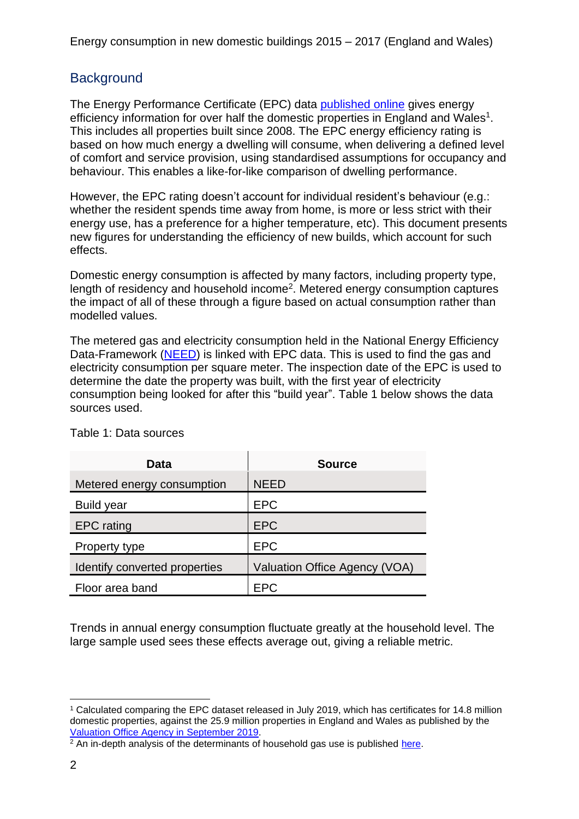## **Background**

The Energy Performance Certificate (EPC) data [published online](https://epc.opendatacommunities.org/docs/guidance) gives energy efficiency information for over half the domestic properties in England and Wales<sup>1</sup>. This includes all properties built since 2008. The EPC energy efficiency rating is based on how much energy a dwelling will consume, when delivering a defined level of comfort and service provision, using standardised assumptions for occupancy and behaviour. This enables a like-for-like comparison of dwelling performance.

However, the EPC rating doesn't account for individual resident's behaviour (e.g.: whether the resident spends time away from home, is more or less strict with their energy use, has a preference for a higher temperature, etc). This document presents new figures for understanding the efficiency of new builds, which account for such effects.

Domestic energy consumption is affected by many factors, including property type, length of residency and household income<sup>2</sup>. Metered energy consumption captures the impact of all of these through a figure based on actual consumption rather than modelled values.

The metered gas and electricity consumption held in the National Energy Efficiency Data-Framework [\(NEED\)](https://www.gov.uk/government/collections/national-energy-efficiency-data-need-framework) is linked with EPC data. This is used to find the gas and electricity consumption per square meter. The inspection date of the EPC is used to determine the date the property was built, with the first year of electricity consumption being looked for after this "build year". Table 1 below shows the data sources used.

| Data                          | <b>Source</b>                 |
|-------------------------------|-------------------------------|
| Metered energy consumption    | <b>NEED</b>                   |
| Build year                    | <b>EPC</b>                    |
| <b>EPC</b> rating             | <b>EPC</b>                    |
| Property type                 | <b>EPC</b>                    |
| Identify converted properties | Valuation Office Agency (VOA) |
| Floor area band               | <b>EPC</b>                    |

Table 1: Data sources

Trends in annual energy consumption fluctuate greatly at the household level. The large sample used sees these effects average out, giving a reliable metric.

<sup>1</sup> Calculated comparing the EPC dataset released in July 2019, which has certificates for 14.8 million domestic properties, against the 25.9 million properties in England and Wales as published by the [Valuation Office Agency in September 2019.](https://www.gov.uk/government/statistics/council-tax-stock-of-properties-2019)

 $2 \text{ An in-depth analysis of the determinants of household gas use is published here.}$  $2 \text{ An in-depth analysis of the determinants of household gas use is published here.}$  $2 \text{ An in-depth analysis of the determinants of household gas use is published here.}$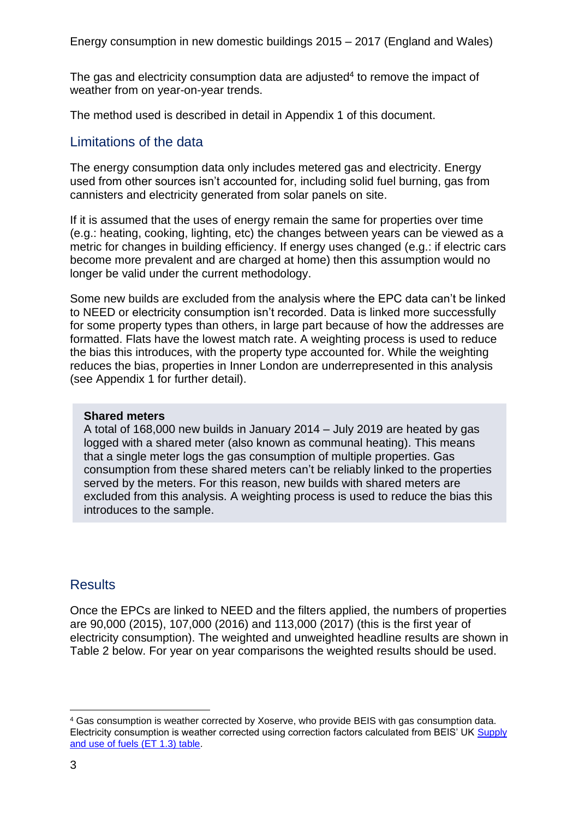The gas and electricity consumption data are adjusted<sup>4</sup> to remove the impact of weather from on year-on-year trends.

The method used is described in detail in Appendix 1 of this document.

## Limitations of the data

The energy consumption data only includes metered gas and electricity. Energy used from other sources isn't accounted for, including solid fuel burning, gas from cannisters and electricity generated from solar panels on site.

If it is assumed that the uses of energy remain the same for properties over time (e.g.: heating, cooking, lighting, etc) the changes between years can be viewed as a metric for changes in building efficiency. If energy uses changed (e.g.: if electric cars become more prevalent and are charged at home) then this assumption would no longer be valid under the current methodology.

Some new builds are excluded from the analysis where the EPC data can't be linked to NEED or electricity consumption isn't recorded. Data is linked more successfully for some property types than others, in large part because of how the addresses are formatted. Flats have the lowest match rate. A weighting process is used to reduce the bias this introduces, with the property type accounted for. While the weighting reduces the bias, properties in Inner London are underrepresented in this analysis (see Appendix 1 for further detail).

#### **Shared meters**

A total of 168,000 new builds in January 2014 – July 2019 are heated by gas logged with a shared meter (also known as communal heating). This means that a single meter logs the gas consumption of multiple properties. Gas consumption from these shared meters can't be reliably linked to the properties served by the meters. For this reason, new builds with shared meters are excluded from this analysis. A weighting process is used to reduce the bias this introduces to the sample.

## **Results**

Once the EPCs are linked to NEED and the filters applied, the numbers of properties are 90,000 (2015), 107,000 (2016) and 113,000 (2017) (this is the first year of electricity consumption). The weighted and unweighted headline results are shown in Table 2 below. For year on year comparisons the weighted results should be used.

<sup>4</sup> Gas consumption is weather corrected by Xoserve, who provide BEIS with gas consumption data. Electricity consumption is weather corrected using correction factors calculated from BEIS' UK [Supply](https://www.gov.uk/government/statistics/total-energy-section-1-energy-trends)  [and use of fuels \(ET 1.3\) table.](https://www.gov.uk/government/statistics/total-energy-section-1-energy-trends)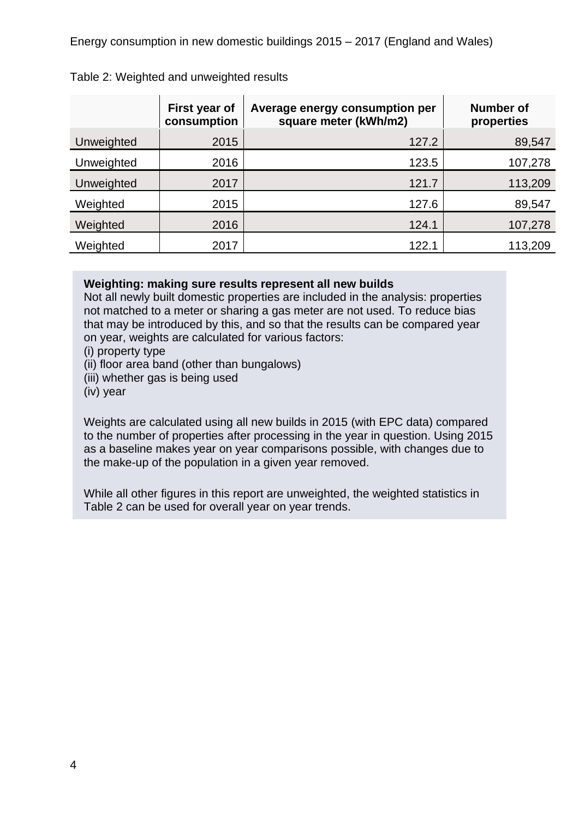|            | First year of<br>consumption | Average energy consumption per<br>square meter (kWh/m2) | Number of<br>properties |
|------------|------------------------------|---------------------------------------------------------|-------------------------|
| Unweighted | 2015                         | 127.2                                                   | 89,547                  |
| Unweighted | 2016                         | 123.5                                                   | 107,278                 |
| Unweighted | 2017                         | 121.7                                                   | 113,209                 |
| Weighted   | 2015                         | 127.6                                                   | 89,547                  |
| Weighted   | 2016                         | 124.1                                                   | 107,278                 |
| Weighted   | 2017                         | 122.1                                                   | 113,209                 |

#### Table 2: Weighted and unweighted results

#### **Weighting: making sure results represent all new builds**

Not all newly built domestic properties are included in the analysis: properties not matched to a meter or sharing a gas meter are not used. To reduce bias that may be introduced by this, and so that the results can be compared year on year, weights are calculated for various factors:

(i) property type

(ii) floor area band (other than bungalows)

(iii) whether gas is being used

(iv) year

Weights are calculated using all new builds in 2015 (with EPC data) compared to the number of properties after processing in the year in question. Using 2015 as a baseline makes year on year comparisons possible, with changes due to the make-up of the population in a given year removed.

While all other figures in this report are unweighted, the weighted statistics in Table 2 can be used for overall year on year trends.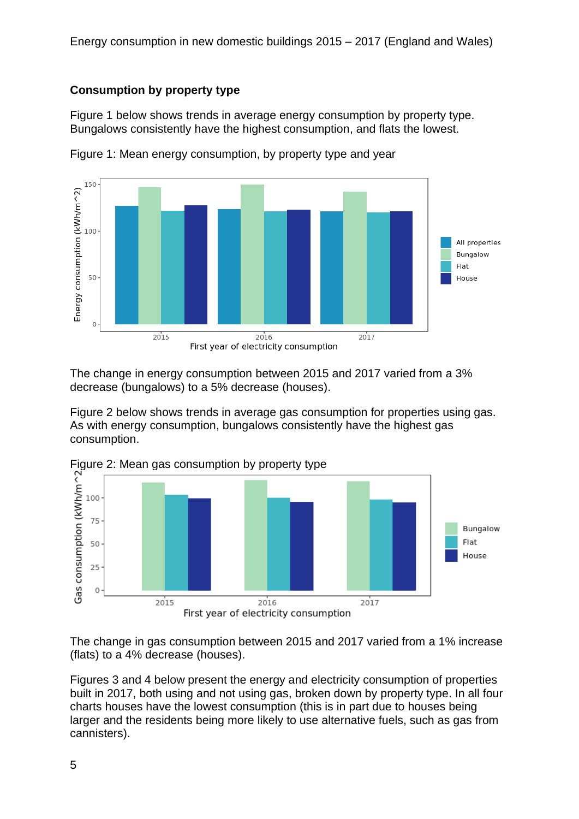## **Consumption by property type**

Figure 1 below shows trends in average energy consumption by property type. Bungalows consistently have the highest consumption, and flats the lowest.



Figure 1: Mean energy consumption, by property type and year

The change in energy consumption between 2015 and 2017 varied from a 3% decrease (bungalows) to a 5% decrease (houses).

Figure 2 below shows trends in average gas consumption for properties using gas. As with energy consumption, bungalows consistently have the highest gas consumption.



The change in gas consumption between 2015 and 2017 varied from a 1% increase (flats) to a 4% decrease (houses).

Figures 3 and 4 below present the energy and electricity consumption of properties built in 2017, both using and not using gas, broken down by property type. In all four charts houses have the lowest consumption (this is in part due to houses being larger and the residents being more likely to use alternative fuels, such as gas from cannisters).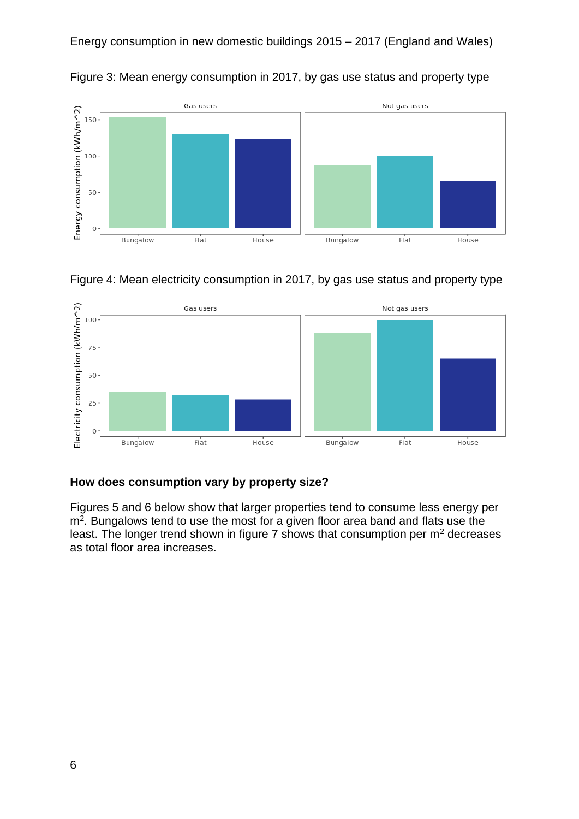

Figure 3: Mean energy consumption in 2017, by gas use status and property type





#### **How does consumption vary by property size?**

Figures 5 and 6 below show that larger properties tend to consume less energy per m<sup>2</sup>. Bungalows tend to use the most for a given floor area band and flats use the least. The longer trend shown in figure  $7$  shows that consumption per  $m<sup>2</sup>$  decreases as total floor area increases.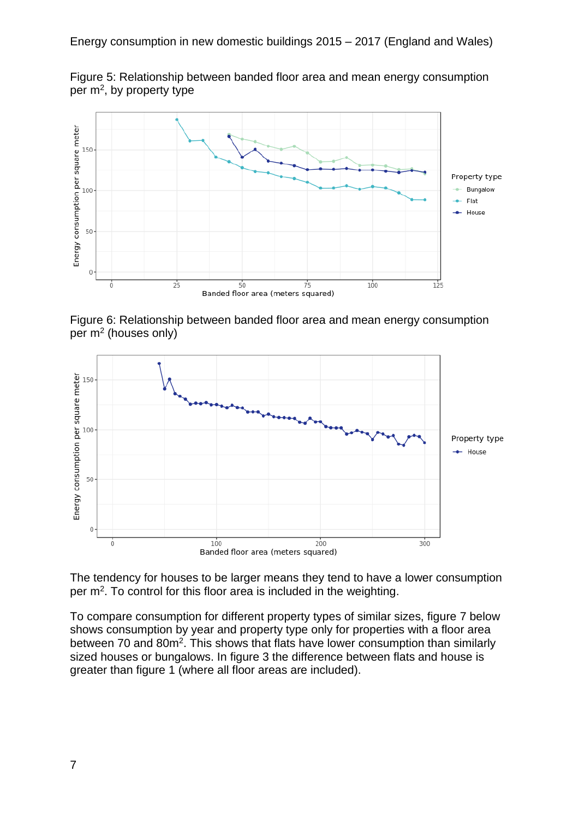Figure 5: Relationship between banded floor area and mean energy consumption per  $m^2$ , by property type



Figure 6: Relationship between banded floor area and mean energy consumption per m<sup>2</sup> (houses only)



The tendency for houses to be larger means they tend to have a lower consumption per m<sup>2</sup>. To control for this floor area is included in the weighting.

To compare consumption for different property types of similar sizes, figure 7 below shows consumption by year and property type only for properties with a floor area between 70 and 80m<sup>2</sup>. This shows that flats have lower consumption than similarly sized houses or bungalows. In figure 3 the difference between flats and house is greater than figure 1 (where all floor areas are included).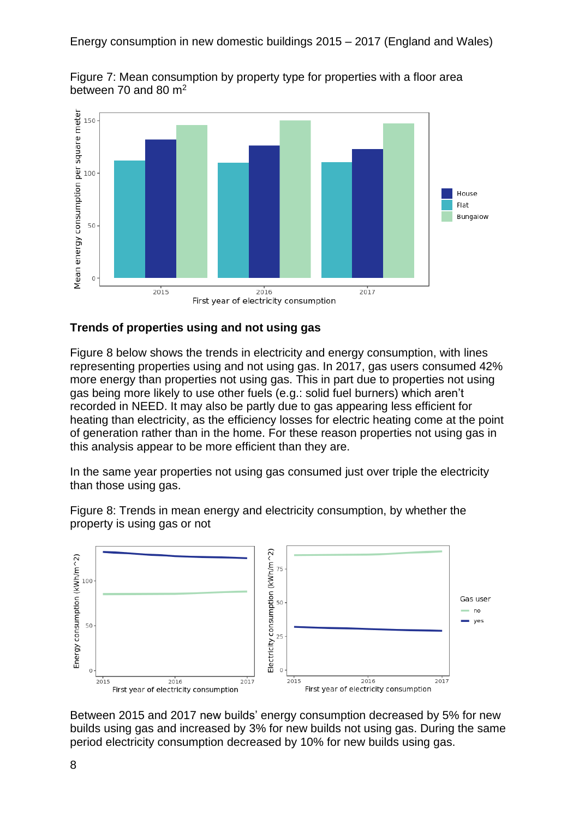



#### **Trends of properties using and not using gas**

Figure 8 below shows the trends in electricity and energy consumption, with lines representing properties using and not using gas. In 2017, gas users consumed 42% more energy than properties not using gas. This in part due to properties not using gas being more likely to use other fuels (e.g.: solid fuel burners) which aren't recorded in NEED. It may also be partly due to gas appearing less efficient for heating than electricity, as the efficiency losses for electric heating come at the point of generation rather than in the home. For these reason properties not using gas in this analysis appear to be more efficient than they are.

In the same year properties not using gas consumed just over triple the electricity than those using gas.



Figure 8: Trends in mean energy and electricity consumption, by whether the property is using gas or not

Between 2015 and 2017 new builds' energy consumption decreased by 5% for new builds using gas and increased by 3% for new builds not using gas. During the same period electricity consumption decreased by 10% for new builds using gas.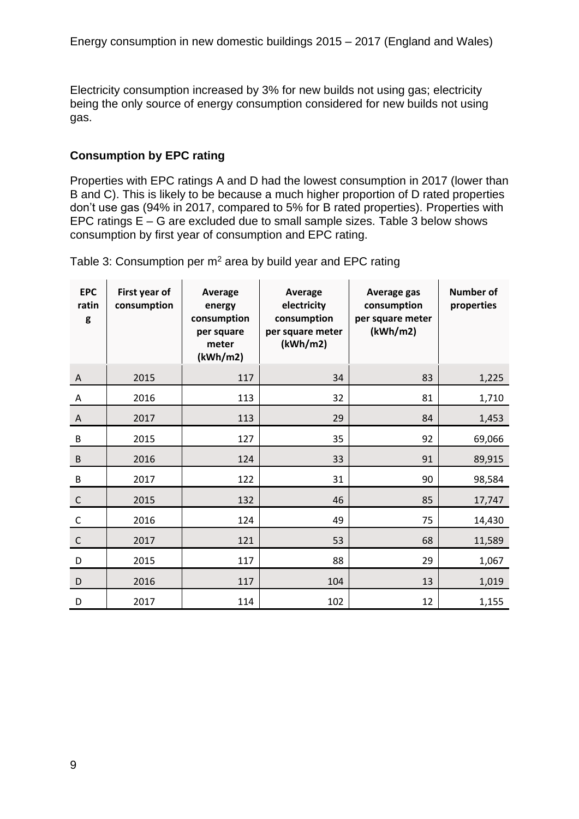Electricity consumption increased by 3% for new builds not using gas; electricity being the only source of energy consumption considered for new builds not using gas.

#### **Consumption by EPC rating**

Properties with EPC ratings A and D had the lowest consumption in 2017 (lower than B and C). This is likely to be because a much higher proportion of D rated properties don't use gas (94% in 2017, compared to 5% for B rated properties). Properties with EPC ratings E – G are excluded due to small sample sizes. Table 3 below shows consumption by first year of consumption and EPC rating.

Table 3: Consumption per  $m^2$  area by build year and EPC rating

| <b>EPC</b><br>ratin<br>g | First year of<br>consumption | Average<br>energy<br>consumption<br>per square<br>meter<br>(kWh/m2) | <b>Average</b><br>electricity<br>consumption<br>per square meter<br>(kWh/m2) | Average gas<br>consumption<br>per square meter<br>(kWh/m2) | <b>Number of</b><br>properties |
|--------------------------|------------------------------|---------------------------------------------------------------------|------------------------------------------------------------------------------|------------------------------------------------------------|--------------------------------|
| A                        | 2015                         | 117                                                                 | 34                                                                           | 83                                                         | 1,225                          |
| A                        | 2016                         | 113                                                                 | 32                                                                           | 81                                                         | 1,710                          |
| A                        | 2017                         | 113                                                                 | 29                                                                           | 84                                                         | 1,453                          |
| $\sf B$                  | 2015                         | 127                                                                 | 35                                                                           | 92                                                         | 69,066                         |
| $\sf B$                  | 2016                         | 124                                                                 | 33                                                                           | 91                                                         | 89,915                         |
| $\sf B$                  | 2017                         | 122                                                                 | 31                                                                           | 90                                                         | 98,584                         |
| $\mathsf C$              | 2015                         | 132                                                                 | 46                                                                           | 85                                                         | 17,747                         |
| $\mathsf C$              | 2016                         | 124                                                                 | 49                                                                           | 75                                                         | 14,430                         |
| $\mathsf C$              | 2017                         | 121                                                                 | 53                                                                           | 68                                                         | 11,589                         |
| D                        | 2015                         | 117                                                                 | 88                                                                           | 29                                                         | 1,067                          |
| D                        | 2016                         | 117                                                                 | 104                                                                          | 13                                                         | 1,019                          |
| D                        | 2017                         | 114                                                                 | 102                                                                          | 12                                                         | 1,155                          |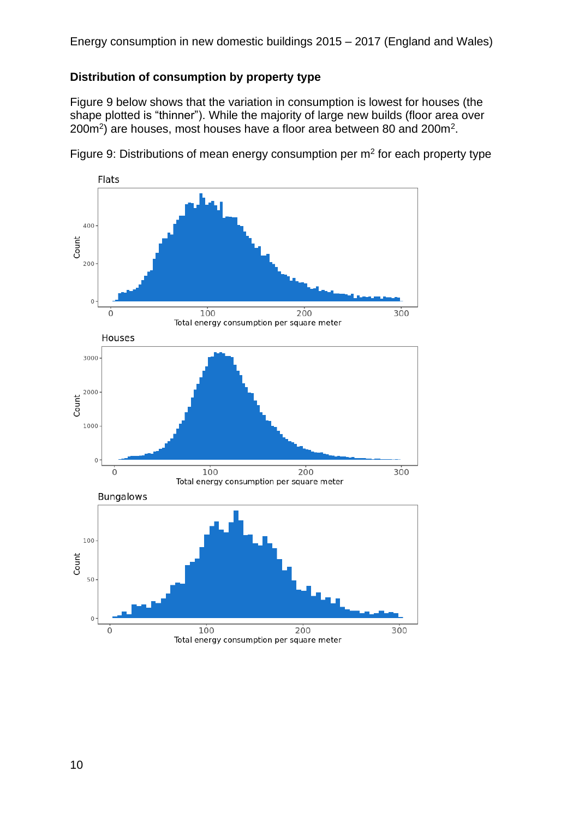### **Distribution of consumption by property type**

Figure 9 below shows that the variation in consumption is lowest for houses (the shape plotted is "thinner"). While the majority of large new builds (floor area over  $200m^2$ ) are houses, most houses have a floor area between 80 and 200 $m^2$ .



Figure 9: Distributions of mean energy consumption per  $m<sup>2</sup>$  for each property type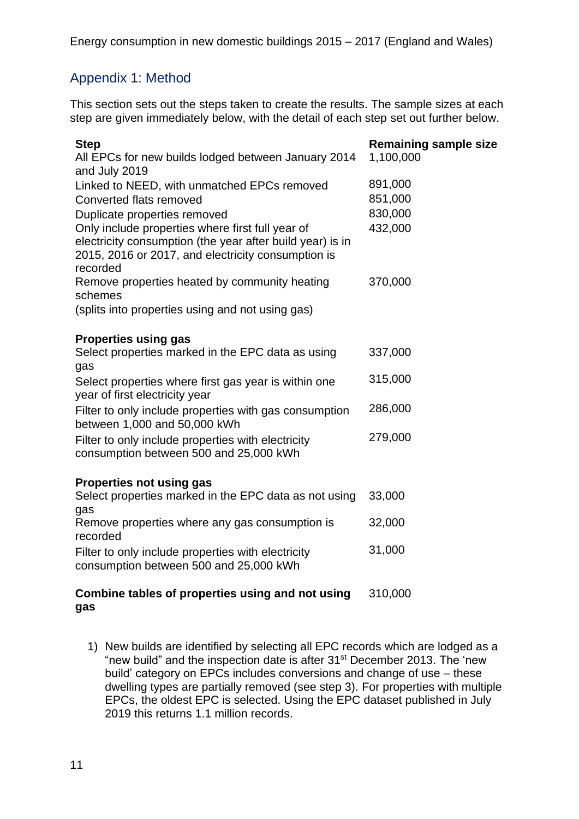## Appendix 1: Method

This section sets out the steps taken to create the results. The sample sizes at each step are given immediately below, with the detail of each step set out further below.

| <b>Step</b><br>All EPCs for new builds lodged between January 2014<br>and July 2019                                                                                             | <b>Remaining sample size</b><br>1,100,000 |
|---------------------------------------------------------------------------------------------------------------------------------------------------------------------------------|-------------------------------------------|
| Linked to NEED, with unmatched EPCs removed                                                                                                                                     | 891,000                                   |
| Converted flats removed                                                                                                                                                         | 851,000                                   |
| Duplicate properties removed                                                                                                                                                    | 830,000                                   |
| Only include properties where first full year of<br>electricity consumption (the year after build year) is in<br>2015, 2016 or 2017, and electricity consumption is<br>recorded | 432,000                                   |
| Remove properties heated by community heating<br>schemes                                                                                                                        | 370,000                                   |
| (splits into properties using and not using gas)                                                                                                                                |                                           |
| <b>Properties using gas</b>                                                                                                                                                     |                                           |
| Select properties marked in the EPC data as using<br>gas                                                                                                                        | 337,000                                   |
| Select properties where first gas year is within one<br>year of first electricity year                                                                                          | 315,000                                   |
| Filter to only include properties with gas consumption<br>between 1,000 and 50,000 kWh                                                                                          | 286,000                                   |
| Filter to only include properties with electricity<br>consumption between 500 and 25,000 kWh                                                                                    | 279,000                                   |
| <b>Properties not using gas</b>                                                                                                                                                 |                                           |
| Select properties marked in the EPC data as not using<br>gas                                                                                                                    | 33,000                                    |
| Remove properties where any gas consumption is<br>recorded                                                                                                                      | 32,000                                    |
| Filter to only include properties with electricity<br>consumption between 500 and 25,000 kWh                                                                                    | 31,000                                    |

#### **Combine tables of properties using and not using gas** 310,000

1) New builds are identified by selecting all EPC records which are lodged as a "new build" and the inspection date is after 31st December 2013. The 'new build' category on EPCs includes conversions and change of use – these dwelling types are partially removed (see step 3). For properties with multiple EPCs, the oldest EPC is selected. Using the EPC dataset published in July 2019 this returns 1.1 million records.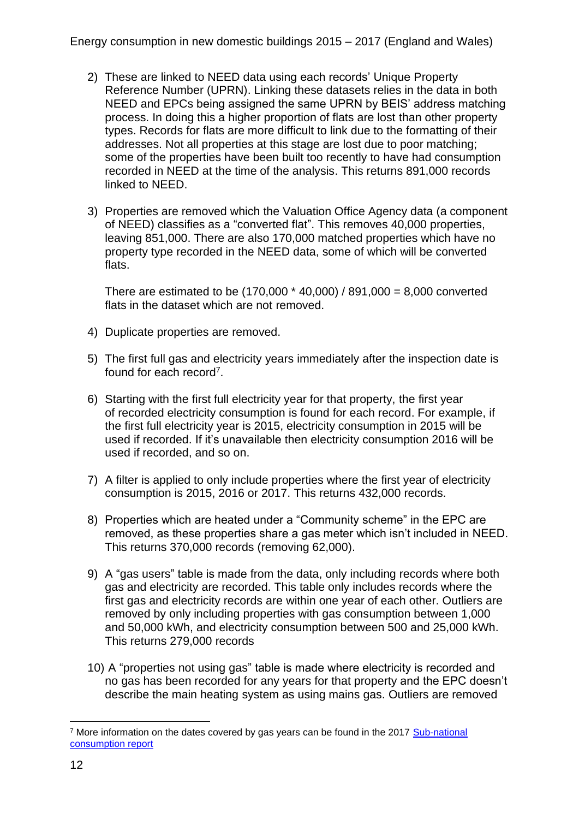- 2) These are linked to NEED data using each records' Unique Property Reference Number (UPRN). Linking these datasets relies in the data in both NEED and EPCs being assigned the same UPRN by BEIS' address matching process. In doing this a higher proportion of flats are lost than other property types. Records for flats are more difficult to link due to the formatting of their addresses. Not all properties at this stage are lost due to poor matching; some of the properties have been built too recently to have had consumption recorded in NEED at the time of the analysis. This returns 891,000 records linked to NEED.
- 3) Properties are removed which the Valuation Office Agency data (a component of NEED) classifies as a "converted flat". This removes 40,000 properties, leaving 851,000. There are also 170,000 matched properties which have no property type recorded in the NEED data, some of which will be converted flats.

There are estimated to be (170,000 \* 40,000) / 891,000 = 8,000 converted flats in the dataset which are not removed.

- 4) Duplicate properties are removed.
- 5) The first full gas and electricity years immediately after the inspection date is found for each record<sup>7</sup>.
- 6) Starting with the first full electricity year for that property, the first year of recorded electricity consumption is found for each record. For example, if the first full electricity year is 2015, electricity consumption in 2015 will be used if recorded. If it's unavailable then electricity consumption 2016 will be used if recorded, and so on.
- 7) A filter is applied to only include properties where the first year of electricity consumption is 2015, 2016 or 2017. This returns 432,000 records.
- 8) Properties which are heated under a "Community scheme" in the EPC are removed, as these properties share a gas meter which isn't included in NEED. This returns 370,000 records (removing 62,000).
- 9) A "gas users" table is made from the data, only including records where both gas and electricity are recorded. This table only includes records where the first gas and electricity records are within one year of each other. Outliers are removed by only including properties with gas consumption between 1,000 and 50,000 kWh, and electricity consumption between 500 and 25,000 kWh. This returns 279,000 records
- 10) A "properties not using gas" table is made where electricity is recorded and no gas has been recorded for any years for that property and the EPC doesn't describe the main heating system as using mains gas. Outliers are removed

<sup>&</sup>lt;sup>7</sup> More information on the dates covered by gas years can be found in the 2017 Sub-national [consumption report](https://www.gov.uk/government/statistics/sub-national-electricity-and-gas-consumption-summary-report-2017)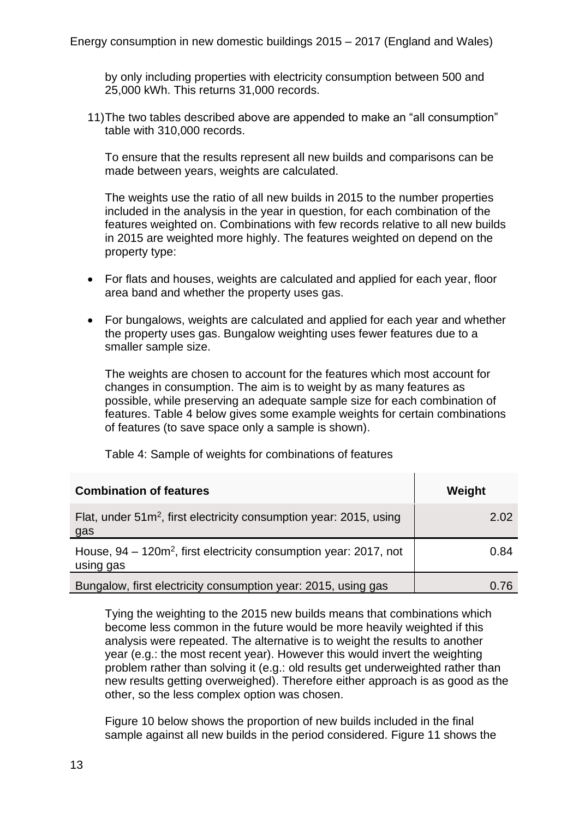by only including properties with electricity consumption between 500 and 25,000 kWh. This returns 31,000 records.

11)The two tables described above are appended to make an "all consumption" table with 310,000 records.

To ensure that the results represent all new builds and comparisons can be made between years, weights are calculated.

The weights use the ratio of all new builds in 2015 to the number properties included in the analysis in the year in question, for each combination of the features weighted on. Combinations with few records relative to all new builds in 2015 are weighted more highly. The features weighted on depend on the property type:

- For flats and houses, weights are calculated and applied for each year, floor area band and whether the property uses gas.
- For bungalows, weights are calculated and applied for each year and whether the property uses gas. Bungalow weighting uses fewer features due to a smaller sample size.

The weights are chosen to account for the features which most account for changes in consumption. The aim is to weight by as many features as possible, while preserving an adequate sample size for each combination of features. Table 4 below gives some example weights for certain combinations of features (to save space only a sample is shown).

Table 4: Sample of weights for combinations of features

| <b>Combination of features</b>                                                    | Weight |
|-----------------------------------------------------------------------------------|--------|
| Flat, under $51m^2$ , first electricity consumption year: 2015, using<br>gas      | 2.02   |
| House, $94 - 120m^2$ , first electricity consumption year: 2017, not<br>using gas | 0.84   |
| Bungalow, first electricity consumption year: 2015, using gas                     | 1.76   |

Tying the weighting to the 2015 new builds means that combinations which become less common in the future would be more heavily weighted if this analysis were repeated. The alternative is to weight the results to another year (e.g.: the most recent year). However this would invert the weighting problem rather than solving it (e.g.: old results get underweighted rather than new results getting overweighed). Therefore either approach is as good as the other, so the less complex option was chosen.

Figure 10 below shows the proportion of new builds included in the final sample against all new builds in the period considered. Figure 11 shows the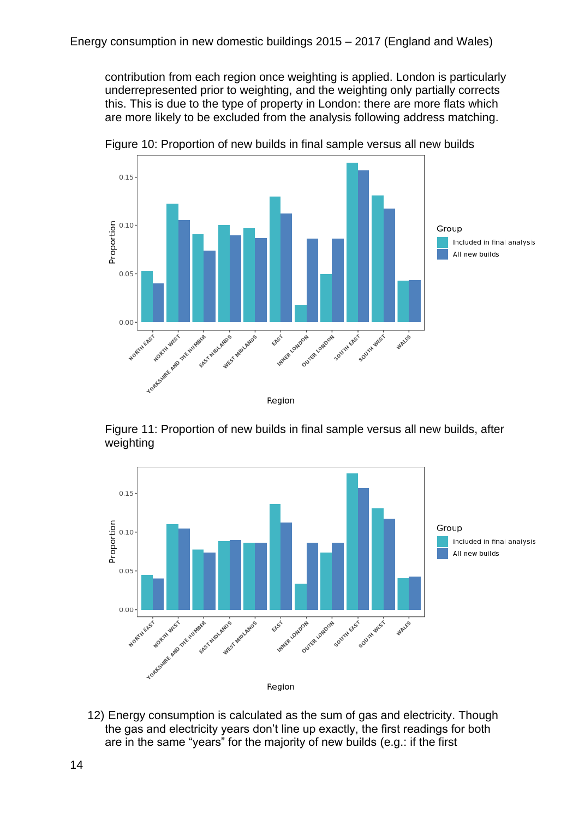contribution from each region once weighting is applied. London is particularly underrepresented prior to weighting, and the weighting only partially corrects this. This is due to the type of property in London: there are more flats which are more likely to be excluded from the analysis following address matching.



Figure 10: Proportion of new builds in final sample versus all new builds

Figure 11: Proportion of new builds in final sample versus all new builds, after weighting



12) Energy consumption is calculated as the sum of gas and electricity. Though the gas and electricity years don't line up exactly, the first readings for both are in the same "years" for the majority of new builds (e.g.: if the first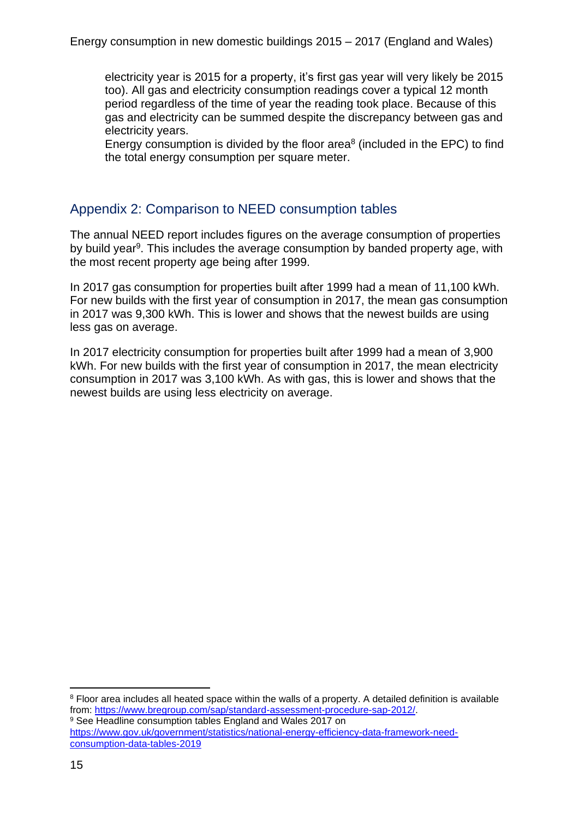electricity year is 2015 for a property, it's first gas year will very likely be 2015 too). All gas and electricity consumption readings cover a typical 12 month period regardless of the time of year the reading took place. Because of this gas and electricity can be summed despite the discrepancy between gas and electricity years.

Energy consumption is divided by the floor area $8$  (included in the EPC) to find the total energy consumption per square meter.

## Appendix 2: Comparison to NEED consumption tables

The annual NEED report includes figures on the average consumption of properties by build year<sup>9</sup>. This includes the average consumption by banded property age, with the most recent property age being after 1999.

In 2017 gas consumption for properties built after 1999 had a mean of 11,100 kWh. For new builds with the first year of consumption in 2017, the mean gas consumption in 2017 was 9,300 kWh. This is lower and shows that the newest builds are using less gas on average.

In 2017 electricity consumption for properties built after 1999 had a mean of 3,900 kWh. For new builds with the first year of consumption in 2017, the mean electricity consumption in 2017 was 3,100 kWh. As with gas, this is lower and shows that the newest builds are using less electricity on average.

<sup>8</sup> Floor area includes all heated space within the walls of a property. A detailed definition is available from: [https://www.bregroup.com/sap/standard-assessment-procedure-sap-2012/.](https://www.bregroup.com/sap/standard-assessment-procedure-sap-2012/)

<sup>&</sup>lt;sup>9</sup> See Headline consumption tables England and Wales 2017 on [https://www.gov.uk/government/statistics/national-energy-efficiency-data-framework-need](https://www.gov.uk/government/statistics/national-energy-efficiency-data-framework-need-consumption-data-tables-2019)[consumption-data-tables-2019](https://www.gov.uk/government/statistics/national-energy-efficiency-data-framework-need-consumption-data-tables-2019)